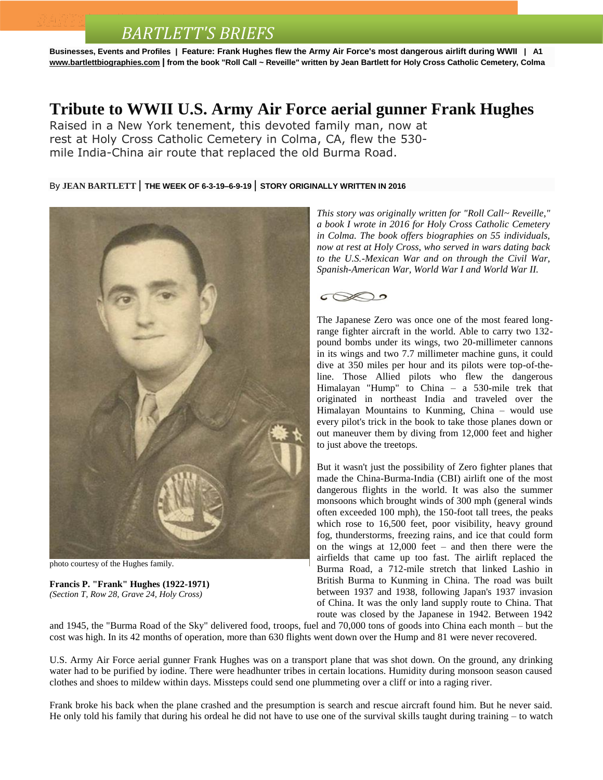# *BARTLETT'S BRIEFS*

**Businesses, Events and Profiles | Feature: Frank Hughes flew the Army Air Force's most dangerous airlift during WWII | A1 [www.bartlettbiographies.com](http://www.bartlettbiographies.com/) | from the book "Roll Call ~ Reveille" written by Jean Bartlett for [Holy Cross Catholic Cemetery, Colma](https://www.youtube.com/watch?v=sW_9xXEZkQw)**

#### **Tribute to WWII U.S. Army Air Force aerial gunner Frank Hughes**

Raised in a New York tenement, this devoted family man, now at rest at Holy Cross Catholic Cemetery in Colma, CA, flew the 530 mile India-China air route that replaced the old Burma Road.

#### By **JEAN [BARTLETT](http://www.mercurynews.com/author/jean-bartlett/)** | **THE WEEK OF 6-3-19–6-9-19** | **STORY ORIGINALLY WRITTEN IN 2016**



photo courtesy of the Hughes family.

**Francis P. "Frank" Hughes (1922-1971)** *(Section T, Row 28, Grave 24, Holy Cross)*

*This story was originally written for "Roll Call~ Reveille," a book I wrote in 2016 for Holy Cross Catholic Cemetery in Colma. The book offers biographies on 55 individuals, now at rest at Holy Cross, who served in wars dating back to the U.S.-Mexican War and on through the Civil War, Spanish-American War, World War I and World War II.*



The Japanese Zero was once one of the most feared longrange fighter aircraft in the world. Able to carry two 132 pound bombs under its wings, two 20-millimeter cannons in its wings and two 7.7 millimeter machine guns, it could dive at 350 miles per hour and its pilots were top-of-theline. Those Allied pilots who flew the dangerous Himalayan "Hump" to China – a 530-mile trek that originated in northeast India and traveled over the Himalayan Mountains to Kunming, China – would use every pilot's trick in the book to take those planes down or out maneuver them by diving from 12,000 feet and higher to just above the treetops.

But it wasn't just the possibility of Zero fighter planes that made the China-Burma-India (CBI) airlift one of the most dangerous flights in the world. It was also the summer monsoons which brought winds of 300 mph (general winds often exceeded 100 mph), the 150-foot tall trees, the peaks which rose to 16,500 feet, poor visibility, heavy ground fog, thunderstorms, freezing rains, and ice that could form on the wings at 12,000 feet – and then there were the airfields that came up too fast. The airlift replaced the Burma Road, a 712-mile stretch that linked Lashio in British Burma to Kunming in China. The road was built between 1937 and 1938, following Japan's 1937 invasion of China. It was the only land supply route to China. That route was closed by the Japanese in 1942. Between 1942

and 1945, the "Burma Road of the Sky" delivered food, troops, fuel and 70,000 tons of goods into China each month – but the cost was high. In its 42 months of operation, more than 630 flights went down over the Hump and 81 were never recovered.

U.S. Army Air Force aerial gunner Frank Hughes was on a transport plane that was shot down. On the ground, any drinking water had to be purified by iodine. There were headhunter tribes in certain locations. Humidity during monsoon season caused clothes and shoes to mildew within days. Missteps could send one plummeting over a cliff or into a raging river.

Frank broke his back when the plane crashed and the presumption is search and rescue aircraft found him. But he never said. He only told his family that during his ordeal he did not have to use one of the survival skills taught during training – to watch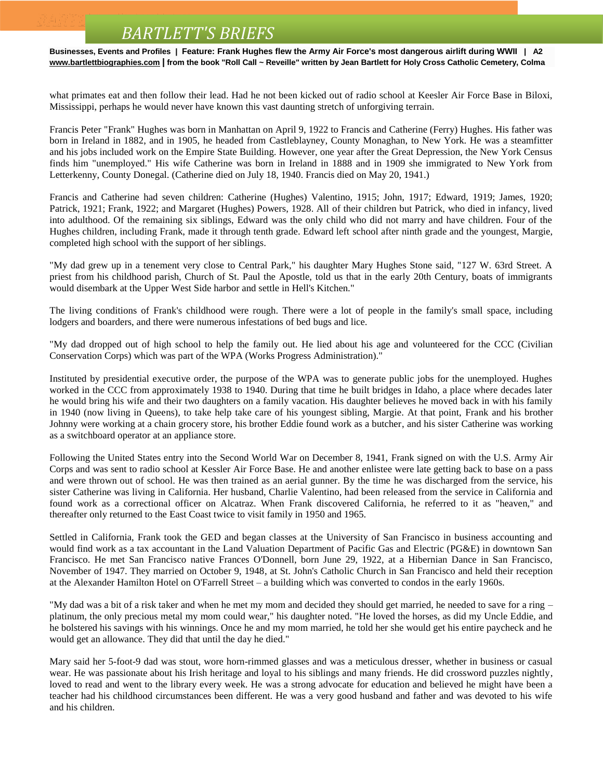### *BARTLETT'S BRIEFS*

**Businesses, Events and Profiles | Feature: Frank Hughes flew the Army Air Force's most dangerous airlift during WWII | A2 [www.bartlettbiographies.com](http://www.bartlettbiographies.com/) | from the book "Roll Call ~ Reveille" written by Jean Bartlett for [Holy Cross Catholic Cemetery, Colma](https://www.youtube.com/watch?v=sW_9xXEZkQw)**

what primates eat and then follow their lead. Had he not been kicked out of radio school at Keesler Air Force Base in Biloxi, Mississippi, perhaps he would never have known this vast daunting stretch of unforgiving terrain.

Francis Peter "Frank" Hughes was born in Manhattan on April 9, 1922 to Francis and Catherine (Ferry) Hughes. His father was born in Ireland in 1882, and in 1905, he headed from Castleblayney, County Monaghan, to New York. He was a steamfitter and his jobs included work on the Empire State Building. However, one year after the Great Depression, the New York Census finds him "unemployed." His wife Catherine was born in Ireland in 1888 and in 1909 she immigrated to New York from Letterkenny, County Donegal. (Catherine died on July 18, 1940. Francis died on May 20, 1941.)

Francis and Catherine had seven children: Catherine (Hughes) Valentino, 1915; John, 1917; Edward, 1919; James, 1920; Patrick, 1921; Frank, 1922; and Margaret (Hughes) Powers, 1928. All of their children but Patrick, who died in infancy, lived into adulthood. Of the remaining six siblings, Edward was the only child who did not marry and have children. Four of the Hughes children, including Frank, made it through tenth grade. Edward left school after ninth grade and the youngest, Margie, completed high school with the support of her siblings.

"My dad grew up in a tenement very close to Central Park," his daughter Mary Hughes Stone said, "127 W. 63rd Street. A priest from his childhood parish, Church of St. Paul the Apostle, told us that in the early 20th Century, boats of immigrants would disembark at the Upper West Side harbor and settle in Hell's Kitchen."

The living conditions of Frank's childhood were rough. There were a lot of people in the family's small space, including lodgers and boarders, and there were numerous infestations of bed bugs and lice.

"My dad dropped out of high school to help the family out. He lied about his age and volunteered for the CCC (Civilian Conservation Corps) which was part of the WPA (Works Progress Administration)."

Instituted by presidential executive order, the purpose of the WPA was to generate public jobs for the unemployed. Hughes worked in the CCC from approximately 1938 to 1940. During that time he built bridges in Idaho, a place where decades later he would bring his wife and their two daughters on a family vacation. His daughter believes he moved back in with his family in 1940 (now living in Queens), to take help take care of his youngest sibling, Margie. At that point, Frank and his brother Johnny were working at a chain grocery store, his brother Eddie found work as a butcher, and his sister Catherine was working as a switchboard operator at an appliance store.

Following the United States entry into the Second World War on December 8, 1941, Frank signed on with the U.S. Army Air Corps and was sent to radio school at Kessler Air Force Base. He and another enlistee were late getting back to base on a pass and were thrown out of school. He was then trained as an aerial gunner. By the time he was discharged from the service, his sister Catherine was living in California. Her husband, Charlie Valentino, had been released from the service in California and found work as a correctional officer on Alcatraz. When Frank discovered California, he referred to it as "heaven," and thereafter only returned to the East Coast twice to visit family in 1950 and 1965.

Settled in California, Frank took the GED and began classes at the University of San Francisco in business accounting and would find work as a tax accountant in the Land Valuation Department of Pacific Gas and Electric (PG&E) in downtown San Francisco. He met San Francisco native Frances O'Donnell, born June 29, 1922, at a Hibernian Dance in San Francisco, November of 1947. They married on October 9, 1948, at St. John's Catholic Church in San Francisco and held their reception at the Alexander Hamilton Hotel on O'Farrell Street – a building which was converted to condos in the early 1960s.

"My dad was a bit of a risk taker and when he met my mom and decided they should get married, he needed to save for a ring – platinum, the only precious metal my mom could wear," his daughter noted. "He loved the horses, as did my Uncle Eddie, and he bolstered his savings with his winnings. Once he and my mom married, he told her she would get his entire paycheck and he would get an allowance. They did that until the day he died."

Mary said her 5-foot-9 dad was stout, wore horn-rimmed glasses and was a meticulous dresser, whether in business or casual wear. He was passionate about his Irish heritage and loyal to his siblings and many friends. He did crossword puzzles nightly, loved to read and went to the library every week. He was a strong advocate for education and believed he might have been a teacher had his childhood circumstances been different. He was a very good husband and father and was devoted to his wife and his children.